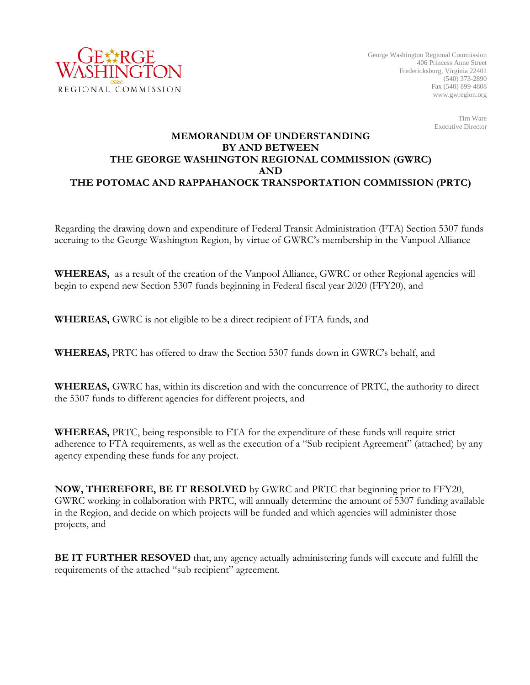

Tim Ware Executive Director

## **MEMORANDUM OF UNDERSTANDING BY AND BETWEEN THE GEORGE WASHINGTON REGIONAL COMMISSION (GWRC) AND THE POTOMAC AND RAPPAHANOCK TRANSPORTATION COMMISSION (PRTC)**

Regarding the drawing down and expenditure of Federal Transit Administration (FTA) Section 5307 funds accruing to the George Washington Region, by virtue of GWRC's membership in the Vanpool Alliance

**WHEREAS,** as a result of the creation of the Vanpool Alliance, GWRC or other Regional agencies will begin to expend new Section 5307 funds beginning in Federal fiscal year 2020 (FFY20), and

**WHEREAS,** GWRC is not eligible to be a direct recipient of FTA funds, and

**WHEREAS,** PRTC has offered to draw the Section 5307 funds down in GWRC's behalf, and

**WHEREAS,** GWRC has, within its discretion and with the concurrence of PRTC, the authority to direct the 5307 funds to different agencies for different projects, and

**WHEREAS,** PRTC, being responsible to FTA for the expenditure of these funds will require strict adherence to FTA requirements, as well as the execution of a "Sub recipient Agreement" (attached) by any agency expending these funds for any project.

**NOW, THEREFORE, BE IT RESOLVED** by GWRC and PRTC that beginning prior to FFY20, GWRC working in collaboration with PRTC, will annually determine the amount of 5307 funding available in the Region, and decide on which projects will be funded and which agencies will administer those projects, and

**BE IT FURTHER RESOVED** that, any agency actually administering funds will execute and fulfill the requirements of the attached "sub recipient" agreement.